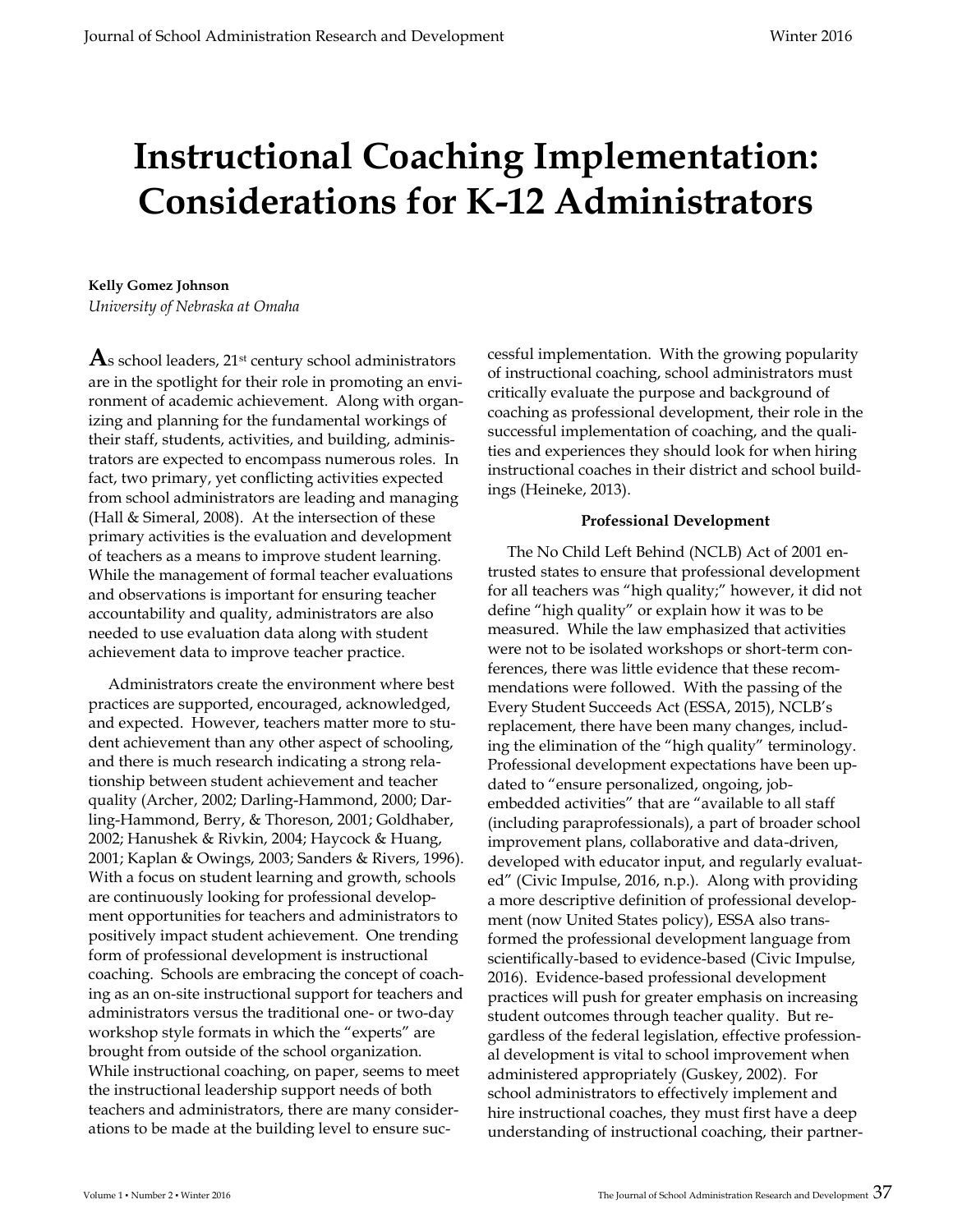# **Instructional Coaching Implementation: Considerations for K-12 Administrators**

# **Kelly Gomez Johnson**

*University of Nebraska at Omaha* 

**A**s school leaders, 21st century school administrators are in the spotlight for their role in promoting an environment of academic achievement. Along with organizing and planning for the fundamental workings of their staff, students, activities, and building, administrators are expected to encompass numerous roles. In fact, two primary, yet conflicting activities expected from school administrators are leading and managing (Hall & Simeral, 2008). At the intersection of these primary activities is the evaluation and development of teachers as a means to improve student learning. While the management of formal teacher evaluations and observations is important for ensuring teacher accountability and quality, administrators are also needed to use evaluation data along with student achievement data to improve teacher practice.

 Administrators create the environment where best practices are supported, encouraged, acknowledged, and expected. However, teachers matter more to student achievement than any other aspect of schooling, and there is much research indicating a strong relationship between student achievement and teacher quality (Archer, 2002; Darling-Hammond, 2000; Darling-Hammond, Berry, & Thoreson, 2001; Goldhaber, 2002; Hanushek & Rivkin, 2004; Haycock & Huang, 2001; Kaplan & Owings, 2003; Sanders & Rivers, 1996). With a focus on student learning and growth, schools are continuously looking for professional development opportunities for teachers and administrators to positively impact student achievement. One trending form of professional development is instructional coaching. Schools are embracing the concept of coaching as an on-site instructional support for teachers and administrators versus the traditional one- or two-day workshop style formats in which the "experts" are brought from outside of the school organization. While instructional coaching, on paper, seems to meet the instructional leadership support needs of both teachers and administrators, there are many considerations to be made at the building level to ensure successful implementation. With the growing popularity of instructional coaching, school administrators must critically evaluate the purpose and background of coaching as professional development, their role in the successful implementation of coaching, and the qualities and experiences they should look for when hiring instructional coaches in their district and school buildings (Heineke, 2013).

## **Professional Development**

 The No Child Left Behind (NCLB) Act of 2001 entrusted states to ensure that professional development for all teachers was "high quality;" however, it did not define "high quality" or explain how it was to be measured. While the law emphasized that activities were not to be isolated workshops or short-term conferences, there was little evidence that these recommendations were followed. With the passing of the Every Student Succeeds Act (ESSA, 2015), NCLB's replacement, there have been many changes, including the elimination of the "high quality" terminology. Professional development expectations have been updated to "ensure personalized, ongoing, jobembedded activities" that are "available to all staff (including paraprofessionals), a part of broader school improvement plans, collaborative and data-driven, developed with educator input, and regularly evaluated" (Civic Impulse, 2016, n.p.). Along with providing a more descriptive definition of professional development (now United States policy), ESSA also transformed the professional development language from scientifically-based to evidence-based (Civic Impulse, 2016). Evidence-based professional development practices will push for greater emphasis on increasing student outcomes through teacher quality. But regardless of the federal legislation, effective professional development is vital to school improvement when administered appropriately (Guskey, 2002). For school administrators to effectively implement and hire instructional coaches, they must first have a deep understanding of instructional coaching, their partner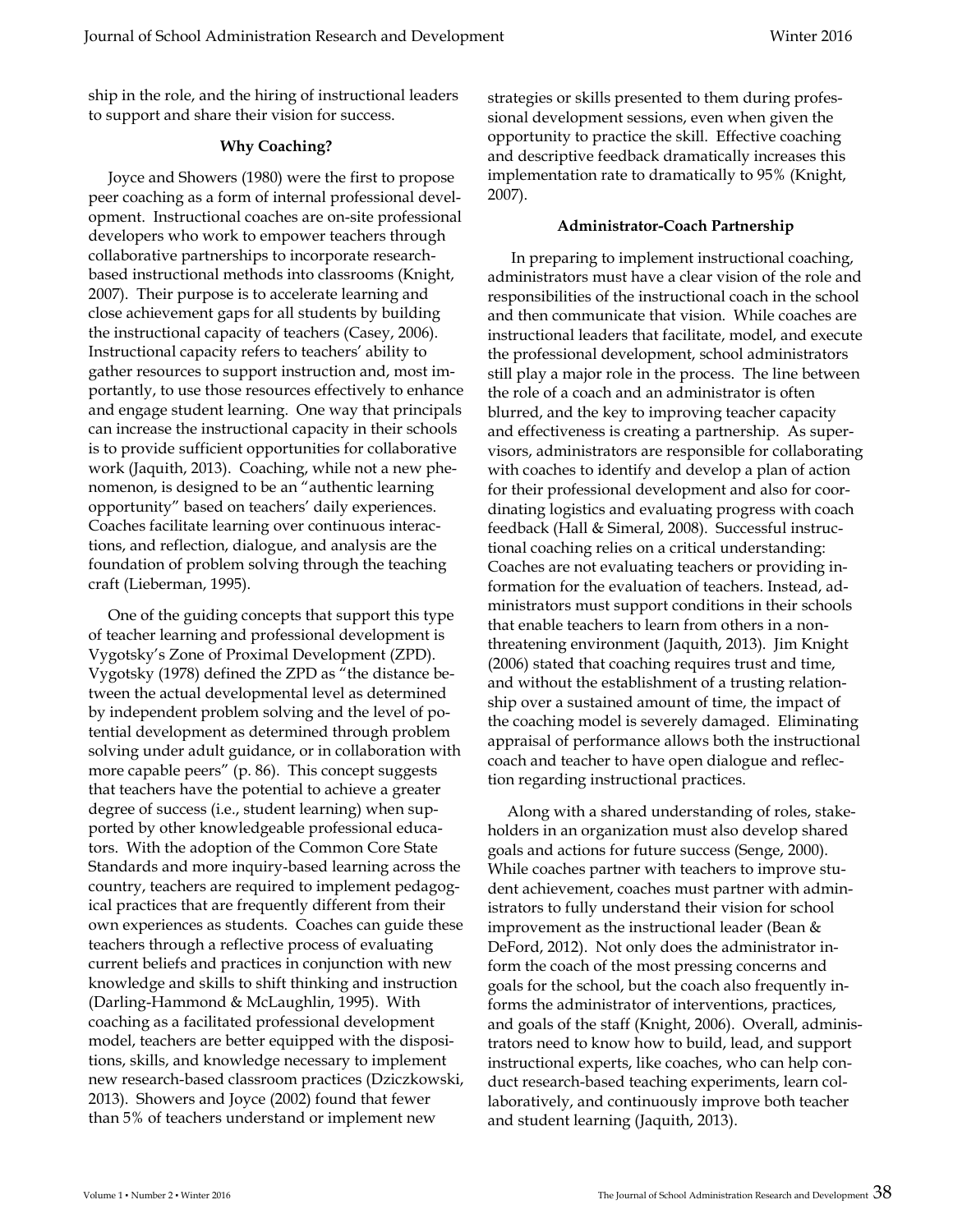ship in the role, and the hiring of instructional leaders to support and share their vision for success.

### **Why Coaching?**

 Joyce and Showers (1980) were the first to propose peer coaching as a form of internal professional development. Instructional coaches are on-site professional developers who work to empower teachers through collaborative partnerships to incorporate researchbased instructional methods into classrooms (Knight, 2007). Their purpose is to accelerate learning and close achievement gaps for all students by building the instructional capacity of teachers (Casey, 2006). Instructional capacity refers to teachers' ability to gather resources to support instruction and, most importantly, to use those resources effectively to enhance and engage student learning. One way that principals can increase the instructional capacity in their schools is to provide sufficient opportunities for collaborative work (Jaquith, 2013). Coaching, while not a new phenomenon, is designed to be an "authentic learning opportunity" based on teachers' daily experiences. Coaches facilitate learning over continuous interactions, and reflection, dialogue, and analysis are the foundation of problem solving through the teaching craft (Lieberman, 1995).

 One of the guiding concepts that support this type of teacher learning and professional development is Vygotsky's Zone of Proximal Development (ZPD). Vygotsky (1978) defined the ZPD as "the distance between the actual developmental level as determined by independent problem solving and the level of potential development as determined through problem solving under adult guidance, or in collaboration with more capable peers" (p. 86). This concept suggests that teachers have the potential to achieve a greater degree of success (i.e., student learning) when supported by other knowledgeable professional educators. With the adoption of the Common Core State Standards and more inquiry-based learning across the country, teachers are required to implement pedagogical practices that are frequently different from their own experiences as students. Coaches can guide these teachers through a reflective process of evaluating current beliefs and practices in conjunction with new knowledge and skills to shift thinking and instruction (Darling-Hammond & McLaughlin, 1995). With coaching as a facilitated professional development model, teachers are better equipped with the dispositions, skills, and knowledge necessary to implement new research-based classroom practices (Dziczkowski, 2013). Showers and Joyce (2002) found that fewer than 5% of teachers understand or implement new

strategies or skills presented to them during professional development sessions, even when given the opportunity to practice the skill. Effective coaching and descriptive feedback dramatically increases this implementation rate to dramatically to 95% (Knight, 2007).

#### **Administrator-Coach Partnership**

 In preparing to implement instructional coaching, administrators must have a clear vision of the role and responsibilities of the instructional coach in the school and then communicate that vision. While coaches are instructional leaders that facilitate, model, and execute the professional development, school administrators still play a major role in the process. The line between the role of a coach and an administrator is often blurred, and the key to improving teacher capacity and effectiveness is creating a partnership. As supervisors, administrators are responsible for collaborating with coaches to identify and develop a plan of action for their professional development and also for coordinating logistics and evaluating progress with coach feedback (Hall & Simeral, 2008). Successful instructional coaching relies on a critical understanding: Coaches are not evaluating teachers or providing information for the evaluation of teachers. Instead, administrators must support conditions in their schools that enable teachers to learn from others in a nonthreatening environment (Jaquith, 2013). Jim Knight (2006) stated that coaching requires trust and time, and without the establishment of a trusting relationship over a sustained amount of time, the impact of the coaching model is severely damaged. Eliminating appraisal of performance allows both the instructional coach and teacher to have open dialogue and reflection regarding instructional practices.

 Along with a shared understanding of roles, stakeholders in an organization must also develop shared goals and actions for future success (Senge, 2000). While coaches partner with teachers to improve student achievement, coaches must partner with administrators to fully understand their vision for school improvement as the instructional leader (Bean & DeFord, 2012). Not only does the administrator inform the coach of the most pressing concerns and goals for the school, but the coach also frequently informs the administrator of interventions, practices, and goals of the staff (Knight, 2006). Overall, administrators need to know how to build, lead, and support instructional experts, like coaches, who can help conduct research-based teaching experiments, learn collaboratively, and continuously improve both teacher and student learning (Jaquith, 2013).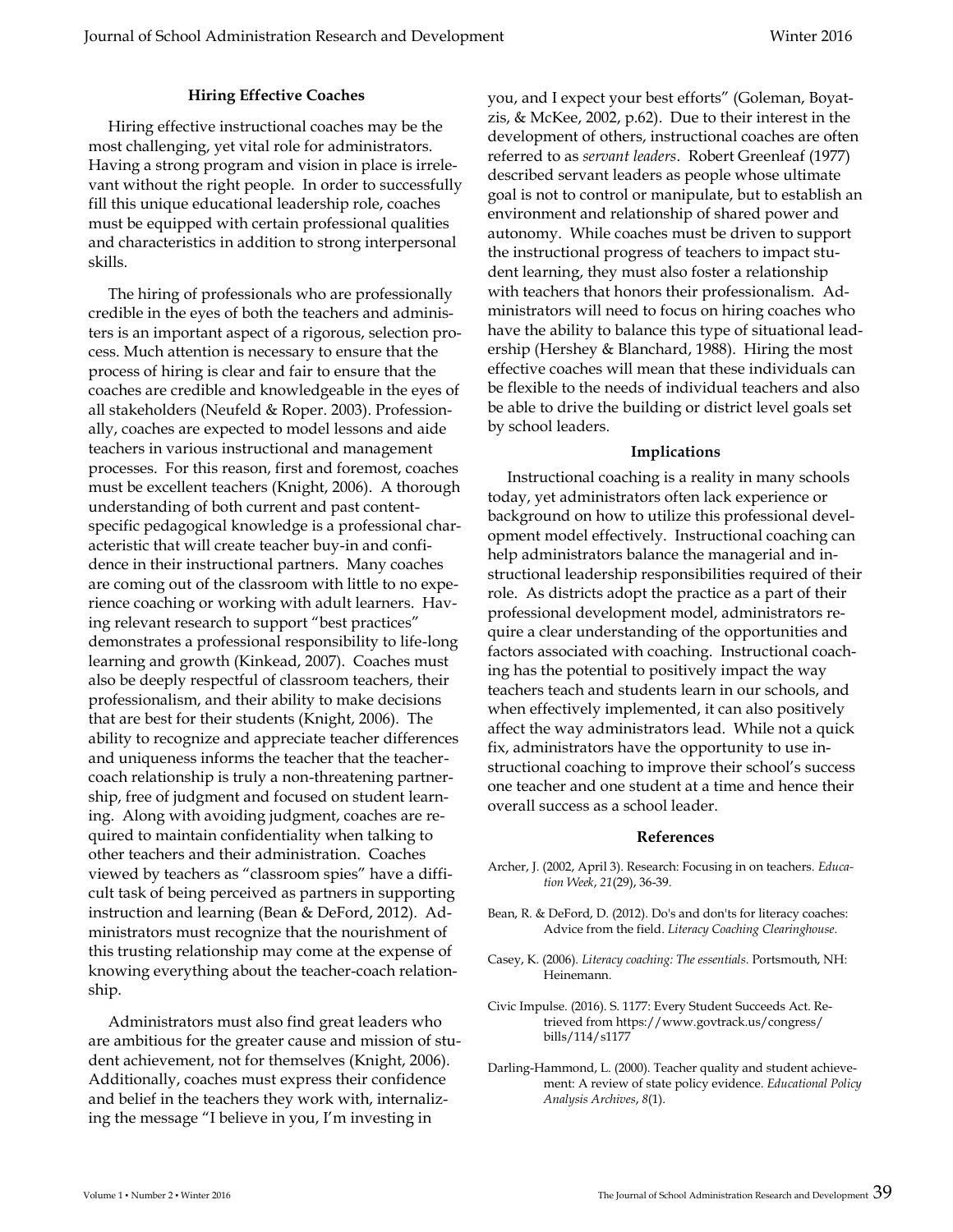# **Hiring Effective Coaches**

 Hiring effective instructional coaches may be the most challenging, yet vital role for administrators. Having a strong program and vision in place is irrelevant without the right people. In order to successfully fill this unique educational leadership role, coaches must be equipped with certain professional qualities and characteristics in addition to strong interpersonal skills.

 The hiring of professionals who are professionally credible in the eyes of both the teachers and administers is an important aspect of a rigorous, selection process. Much attention is necessary to ensure that the process of hiring is clear and fair to ensure that the coaches are credible and knowledgeable in the eyes of all stakeholders (Neufeld & Roper. 2003). Professionally, coaches are expected to model lessons and aide teachers in various instructional and management processes. For this reason, first and foremost, coaches must be excellent teachers (Knight, 2006). A thorough understanding of both current and past contentspecific pedagogical knowledge is a professional characteristic that will create teacher buy-in and confidence in their instructional partners. Many coaches are coming out of the classroom with little to no experience coaching or working with adult learners. Having relevant research to support "best practices" demonstrates a professional responsibility to life-long learning and growth (Kinkead, 2007). Coaches must also be deeply respectful of classroom teachers, their professionalism, and their ability to make decisions that are best for their students (Knight, 2006). The ability to recognize and appreciate teacher differences and uniqueness informs the teacher that the teachercoach relationship is truly a non-threatening partnership, free of judgment and focused on student learning. Along with avoiding judgment, coaches are required to maintain confidentiality when talking to other teachers and their administration. Coaches viewed by teachers as "classroom spies" have a difficult task of being perceived as partners in supporting instruction and learning (Bean & DeFord, 2012). Administrators must recognize that the nourishment of this trusting relationship may come at the expense of knowing everything about the teacher-coach relationship.

 Administrators must also find great leaders who are ambitious for the greater cause and mission of student achievement, not for themselves (Knight, 2006). Additionally, coaches must express their confidence and belief in the teachers they work with, internalizing the message "I believe in you, I'm investing in

you, and I expect your best efforts" (Goleman, Boyatzis, & McKee, 2002, p.62). Due to their interest in the development of others, instructional coaches are often referred to as *servant leaders*. Robert Greenleaf (1977) described servant leaders as people whose ultimate goal is not to control or manipulate, but to establish an environment and relationship of shared power and autonomy. While coaches must be driven to support the instructional progress of teachers to impact student learning, they must also foster a relationship with teachers that honors their professionalism. Administrators will need to focus on hiring coaches who have the ability to balance this type of situational leadership (Hershey & Blanchard, 1988). Hiring the most effective coaches will mean that these individuals can be flexible to the needs of individual teachers and also be able to drive the building or district level goals set by school leaders.

#### **Implications**

 Instructional coaching is a reality in many schools today, yet administrators often lack experience or background on how to utilize this professional development model effectively. Instructional coaching can help administrators balance the managerial and instructional leadership responsibilities required of their role. As districts adopt the practice as a part of their professional development model, administrators require a clear understanding of the opportunities and factors associated with coaching. Instructional coaching has the potential to positively impact the way teachers teach and students learn in our schools, and when effectively implemented, it can also positively affect the way administrators lead. While not a quick fix, administrators have the opportunity to use instructional coaching to improve their school's success one teacher and one student at a time and hence their overall success as a school leader.

#### **References**

- Archer, J. (2002, April 3). Research: Focusing in on teachers. *Education Week*, *21*(29), 36-39.
- Bean, R. & DeFord, D. (2012). Do's and don'ts for literacy coaches: Advice from the field. *Literacy Coaching Clearinghouse*.
- Casey, K. (2006). *Literacy coaching: The essentials*. Portsmouth, NH: Heinemann.
- Civic Impulse. (2016). S. 1177: Every Student Succeeds Act. Retrieved from https://www.govtrack.us/congress/ bills/114/s1177
- Darling-Hammond, L. (2000). Teacher quality and student achievement: A review of state policy evidence. *Educational Policy Analysis Archives*, *8*(1).